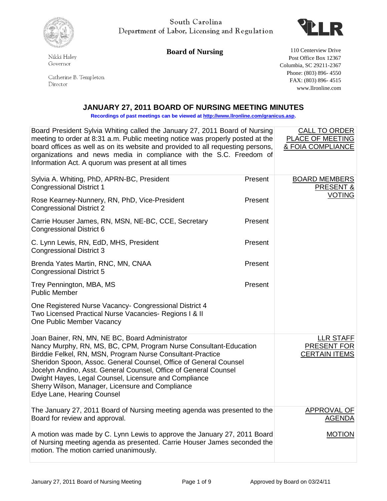

South Carolina Department of Labor, Licensing and Regulation



**Board of Nursing** 110 Centerview Drive

Governor

Nikki Haley

Catherine B. Templeton  $\mathop{\rm Director}\nolimits$ 

Post Office Box 12367 Columbia, SC 29211-2367 Phone: (803) 896- 4550 FAX: (803) 896- 4515 www.llronline.com

## **JANUARY 27, 2011 BOARD OF NURSING MEETING MINUTES**

**Recordings of past meetings can be viewed a[t http://www.llronline.com/granicus.asp.](http://www.llronline.com/granicus.asp)** 

| Board President Sylvia Whiting called the January 27, 2011 Board of Nursing<br>meeting to order at 8:31 a.m. Public meeting notice was properly posted at the<br>board offices as well as on its website and provided to all requesting persons,<br>organizations and news media in compliance with the S.C. Freedom of<br>Information Act. A quorum was present at all times                                                                                          |         | <b>CALL TO ORDER</b><br>PLACE OF MEETING<br><b>&amp; FOIA COMPLIANCE</b> |
|------------------------------------------------------------------------------------------------------------------------------------------------------------------------------------------------------------------------------------------------------------------------------------------------------------------------------------------------------------------------------------------------------------------------------------------------------------------------|---------|--------------------------------------------------------------------------|
| Sylvia A. Whiting, PhD, APRN-BC, President<br><b>Congressional District 1</b>                                                                                                                                                                                                                                                                                                                                                                                          | Present | <b>BOARD MEMBERS</b><br>PRESENT &                                        |
| Rose Kearney-Nunnery, RN, PhD, Vice-President<br><b>Congressional District 2</b>                                                                                                                                                                                                                                                                                                                                                                                       | Present | <b>VOTING</b>                                                            |
| Carrie Houser James, RN, MSN, NE-BC, CCE, Secretary<br><b>Congressional District 6</b>                                                                                                                                                                                                                                                                                                                                                                                 | Present |                                                                          |
| C. Lynn Lewis, RN, EdD, MHS, President<br><b>Congressional District 3</b>                                                                                                                                                                                                                                                                                                                                                                                              | Present |                                                                          |
| Brenda Yates Martin, RNC, MN, CNAA<br><b>Congressional District 5</b>                                                                                                                                                                                                                                                                                                                                                                                                  | Present |                                                                          |
| Trey Pennington, MBA, MS<br><b>Public Member</b>                                                                                                                                                                                                                                                                                                                                                                                                                       | Present |                                                                          |
| One Registered Nurse Vacancy- Congressional District 4<br>Two Licensed Practical Nurse Vacancies- Regions I & II<br>One Public Member Vacancy                                                                                                                                                                                                                                                                                                                          |         |                                                                          |
| Joan Bainer, RN, MN, NE BC, Board Administrator<br>Nancy Murphy, RN, MS, BC, CPM, Program Nurse Consultant-Education<br>Birddie Felkel, RN, MSN, Program Nurse Consultant-Practice<br>Sheridon Spoon, Assoc. General Counsel, Office of General Counsel<br>Jocelyn Andino, Asst. General Counsel, Office of General Counsel<br>Dwight Hayes, Legal Counsel, Licensure and Compliance<br>Sherry Wilson, Manager, Licensure and Compliance<br>Edye Lane, Hearing Counsel |         | <b>LLR STAFF</b><br>PRESENT FOR<br><b>CERTAIN ITEMS</b>                  |
| The January 27, 2011 Board of Nursing meeting agenda was presented to the<br>Board for review and approval.                                                                                                                                                                                                                                                                                                                                                            |         | <b>APPROVAL OF</b><br><b>AGENDA</b>                                      |
| A motion was made by C. Lynn Lewis to approve the January 27, 2011 Board<br>of Nursing meeting agenda as presented. Carrie Houser James seconded the<br>motion. The motion carried unanimously.                                                                                                                                                                                                                                                                        |         | <b>MOTION</b>                                                            |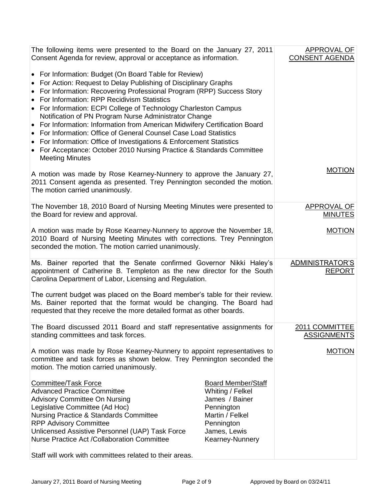| The following items were presented to the Board on the January 27, 2011<br>Consent Agenda for review, approval or acceptance as information.                                                                                                                                                                                                                                                                                                                                                                                                                                                                                                                                                                                         |                                                                                                                                                   | APPROVAL OF<br><b>CONSENT AGENDA</b> |
|--------------------------------------------------------------------------------------------------------------------------------------------------------------------------------------------------------------------------------------------------------------------------------------------------------------------------------------------------------------------------------------------------------------------------------------------------------------------------------------------------------------------------------------------------------------------------------------------------------------------------------------------------------------------------------------------------------------------------------------|---------------------------------------------------------------------------------------------------------------------------------------------------|--------------------------------------|
| • For Information: Budget (On Board Table for Review)<br>• For Action: Request to Delay Publishing of Disciplinary Graphs<br>For Information: Recovering Professional Program (RPP) Success Story<br>$\bullet$<br>For Information: RPP Recidivism Statistics<br>$\bullet$<br>• For Information: ECPI College of Technology Charleston Campus<br>Notification of PN Program Nurse Administrator Change<br>• For Information: Information from American Midwifery Certification Board<br>For Information: Office of General Counsel Case Load Statistics<br>For Information: Office of Investigations & Enforcement Statistics<br>٠<br>• For Acceptance: October 2010 Nursing Practice & Standards Committee<br><b>Meeting Minutes</b> |                                                                                                                                                   |                                      |
| A motion was made by Rose Kearney-Nunnery to approve the January 27,<br>2011 Consent agenda as presented. Trey Pennington seconded the motion.<br>The motion carried unanimously.                                                                                                                                                                                                                                                                                                                                                                                                                                                                                                                                                    |                                                                                                                                                   | <b>MOTION</b>                        |
| The November 18, 2010 Board of Nursing Meeting Minutes were presented to<br>the Board for review and approval.                                                                                                                                                                                                                                                                                                                                                                                                                                                                                                                                                                                                                       |                                                                                                                                                   | <b>APPROVAL OF</b><br><b>MINUTES</b> |
| A motion was made by Rose Kearney-Nunnery to approve the November 18,<br>2010 Board of Nursing Meeting Minutes with corrections. Trey Pennington<br>seconded the motion. The motion carried unanimously.                                                                                                                                                                                                                                                                                                                                                                                                                                                                                                                             |                                                                                                                                                   | <b>MOTION</b>                        |
| Ms. Bainer reported that the Senate confirmed Governor Nikki Haley's<br>appointment of Catherine B. Templeton as the new director for the South<br>Carolina Department of Labor, Licensing and Regulation.                                                                                                                                                                                                                                                                                                                                                                                                                                                                                                                           |                                                                                                                                                   | ADMINISTRATOR'S<br><b>REPORT</b>     |
| The current budget was placed on the Board member's table for their review.<br>Ms. Bainer reported that the format would be changing. The Board had<br>requested that they receive the more detailed format as other boards.                                                                                                                                                                                                                                                                                                                                                                                                                                                                                                         |                                                                                                                                                   |                                      |
| The Board discussed 2011 Board and staff representative assignments for<br>standing committees and task forces.                                                                                                                                                                                                                                                                                                                                                                                                                                                                                                                                                                                                                      |                                                                                                                                                   | 2011 COMMITTEE<br><b>ASSIGNMENTS</b> |
| A motion was made by Rose Kearney-Nunnery to appoint representatives to<br>committee and task forces as shown below. Trey Pennington seconded the<br>motion. The motion carried unanimously.                                                                                                                                                                                                                                                                                                                                                                                                                                                                                                                                         |                                                                                                                                                   | <b>MOTION</b>                        |
| <b>Committee/Task Force</b><br><b>Advanced Practice Committee</b><br><b>Advisory Committee On Nursing</b><br>Legislative Committee (Ad Hoc)<br><b>Nursing Practice &amp; Standards Committee</b><br><b>RPP Advisory Committee</b><br>Unlicensed Assistive Personnel (UAP) Task Force<br><b>Nurse Practice Act /Collaboration Committee</b><br>Staff will work with committees related to their areas.                                                                                                                                                                                                                                                                                                                                | <b>Board Member/Staff</b><br>Whiting / Felkel<br>James / Bainer<br>Pennington<br>Martin / Felkel<br>Pennington<br>James, Lewis<br>Kearney-Nunnery |                                      |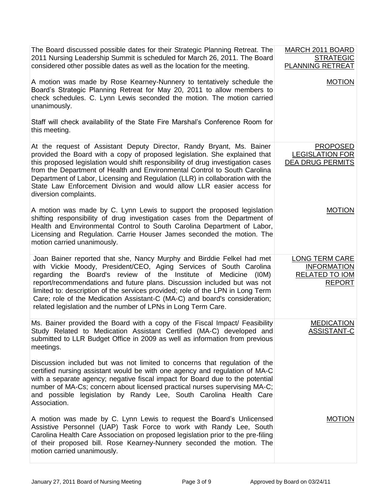| The Board discussed possible dates for their Strategic Planning Retreat. The<br>2011 Nursing Leadership Summit is scheduled for March 26, 2011. The Board<br>considered other possible dates as well as the location for the meeting.                                                                                                                                                                                                                                                                                        | MARCH 2011 BOARD<br><b>STRATEGIC</b><br>PLANNING RETREAT                       |
|------------------------------------------------------------------------------------------------------------------------------------------------------------------------------------------------------------------------------------------------------------------------------------------------------------------------------------------------------------------------------------------------------------------------------------------------------------------------------------------------------------------------------|--------------------------------------------------------------------------------|
| A motion was made by Rose Kearney-Nunnery to tentatively schedule the<br>Board's Strategic Planning Retreat for May 20, 2011 to allow members to<br>check schedules. C. Lynn Lewis seconded the motion. The motion carried<br>unanimously.                                                                                                                                                                                                                                                                                   | <b>MOTION</b>                                                                  |
| Staff will check availability of the State Fire Marshal's Conference Room for<br>this meeting.                                                                                                                                                                                                                                                                                                                                                                                                                               |                                                                                |
| At the request of Assistant Deputy Director, Randy Bryant, Ms. Bainer<br>provided the Board with a copy of proposed legislation. She explained that<br>this proposed legislation would shift responsibility of drug investigation cases<br>from the Department of Health and Environmental Control to South Carolina<br>Department of Labor, Licensing and Regulation (LLR) in collaboration with the<br>State Law Enforcement Division and would allow LLR easier access for<br>diversion complaints.                       | <b>PROPOSED</b><br><b>LEGISLATION FOR</b><br>DEA DRUG PERMITS                  |
| A motion was made by C. Lynn Lewis to support the proposed legislation<br>shifting responsibility of drug investigation cases from the Department of<br>Health and Environmental Control to South Carolina Department of Labor,<br>Licensing and Regulation. Carrie Houser James seconded the motion. The<br>motion carried unanimously.                                                                                                                                                                                     | <b>MOTION</b>                                                                  |
| Joan Bainer reported that she, Nancy Murphy and Birddie Felkel had met<br>with Vickie Moody, President/CEO, Aging Services of South Carolina<br>regarding the Board's review of the Institute of Medicine (IOM)<br>report/recommendations and future plans. Discussion included but was not<br>limited to: description of the services provided; role of the LPN in Long Term<br>Care; role of the Medication Assistant-C (MA-C) and board's consideration;<br>related legislation and the number of LPNs in Long Term Care. | <b>LONG TERM CARE</b><br><b>INFORMATION</b><br>RELATED TO IOM<br><b>REPORT</b> |
| Ms. Bainer provided the Board with a copy of the Fiscal Impact/ Feasibility<br>Study Related to Medication Assistant Certified (MA-C) developed and<br>submitted to LLR Budget Office in 2009 as well as information from previous<br>meetings.                                                                                                                                                                                                                                                                              | <b>MEDICATION</b><br><b>ASSISTANT-C</b>                                        |
| Discussion included but was not limited to concerns that regulation of the<br>certified nursing assistant would be with one agency and regulation of MA-C<br>with a separate agency; negative fiscal impact for Board due to the potential<br>number of MA-Cs; concern about licensed practical nurses supervising MA-C;<br>and possible legislation by Randy Lee, South Carolina Health Care<br>Association.                                                                                                                |                                                                                |
| A motion was made by C. Lynn Lewis to request the Board's Unlicensed<br>Assistive Personnel (UAP) Task Force to work with Randy Lee, South<br>Carolina Health Care Association on proposed legislation prior to the pre-filing<br>of their proposed bill. Rose Kearney-Nunnery seconded the motion. The<br>motion carried unanimously.                                                                                                                                                                                       | <b>MOTION</b>                                                                  |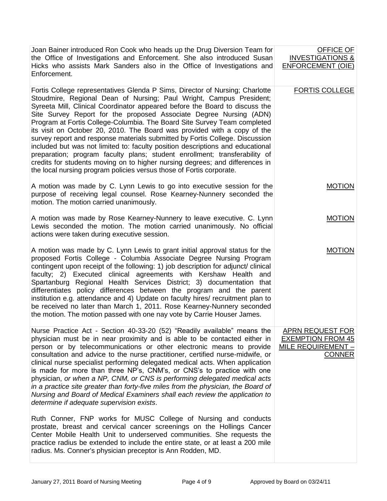| Joan Bainer introduced Ron Cook who heads up the Drug Diversion Team for<br>the Office of Investigations and Enforcement. She also introduced Susan<br>Hicks who assists Mark Sanders also in the Office of Investigations and<br>Enforcement.                                                                                                                                                                                                                                                                                                                                                                                                                                                                                                                                                                                                                           | OFFICE OF<br><b>INVESTIGATIONS &amp;</b><br><b>ENFORCEMENT (OIE)</b>                       |
|--------------------------------------------------------------------------------------------------------------------------------------------------------------------------------------------------------------------------------------------------------------------------------------------------------------------------------------------------------------------------------------------------------------------------------------------------------------------------------------------------------------------------------------------------------------------------------------------------------------------------------------------------------------------------------------------------------------------------------------------------------------------------------------------------------------------------------------------------------------------------|--------------------------------------------------------------------------------------------|
| Fortis College representatives Glenda P Sims, Director of Nursing; Charlotte<br>Stoudmire, Regional Dean of Nursing; Paul Wright, Campus President;<br>Syreeta Mill, Clinical Coordinator appeared before the Board to discuss the<br>Site Survey Report for the proposed Associate Degree Nursing (ADN)<br>Program at Fortis College-Columbia. The Board Site Survey Team completed<br>its visit on October 20, 2010. The Board was provided with a copy of the<br>survey report and response materials submitted by Fortis College. Discussion<br>included but was not limited to: faculty position descriptions and educational<br>preparation; program faculty plans; student enrollment; transferability of<br>credits for students moving on to higher nursing degrees; and differences in<br>the local nursing program policies versus those of Fortis corporate. | <b>FORTIS COLLEGE</b>                                                                      |
| A motion was made by C. Lynn Lewis to go into executive session for the<br>purpose of receiving legal counsel. Rose Kearney-Nunnery seconded the<br>motion. The motion carried unanimously.                                                                                                                                                                                                                                                                                                                                                                                                                                                                                                                                                                                                                                                                              | <b>MOTION</b>                                                                              |
| A motion was made by Rose Kearney-Nunnery to leave executive. C. Lynn<br>Lewis seconded the motion. The motion carried unanimously. No official<br>actions were taken during executive session.                                                                                                                                                                                                                                                                                                                                                                                                                                                                                                                                                                                                                                                                          | <b>MOTION</b>                                                                              |
| A motion was made by C. Lynn Lewis to grant initial approval status for the<br>proposed Fortis College - Columbia Associate Degree Nursing Program<br>contingent upon receipt of the following: 1) job description for adjunct/ clinical<br>faculty; 2) Executed clinical agreements with Kershaw Health and<br>Spartanburg Regional Health Services District; 3) documentation that<br>differentiates policy differences between the program and the parent<br>institution e.g. attendance and 4) Update on faculty hires/ recruitment plan to<br>be received no later than March 1, 2011. Rose Kearney-Nunnery seconded<br>the motion. The motion passed with one nay vote by Carrie Houser James.                                                                                                                                                                     | <b>MOTION</b>                                                                              |
| Nurse Practice Act - Section 40-33-20 (52) "Readily available" means the<br>physician must be in near proximity and is able to be contacted either in<br>person or by telecommunications or other electronic means to provide<br>consultation and advice to the nurse practitioner, certified nurse-midwife, or<br>clinical nurse specialist performing delegated medical acts. When application<br>is made for more than three NP's, CNM's, or CNS's to practice with one<br>physician, or when a NP, CNM, or CNS is performing delegated medical acts<br>in a practice site greater than forty-five miles from the physician, the Board of<br>Nursing and Board of Medical Examiners shall each review the application to<br>determine if adequate supervision exists.                                                                                                 | <b>APRN REQUEST FOR</b><br><b>EXEMPTION FROM 45</b><br>MILE REQUIREMENT -<br><b>CONNER</b> |
| Ruth Conner, FNP works for MUSC College of Nursing and conducts<br>prostate, breast and cervical cancer screenings on the Hollings Cancer<br>Center Mobile Health Unit to underserved communities. She requests the<br>practice radius be extended to include the entire state, or at least a 200 mile<br>radius. Ms. Conner's physician preceptor is Ann Rodden, MD.                                                                                                                                                                                                                                                                                                                                                                                                                                                                                                    |                                                                                            |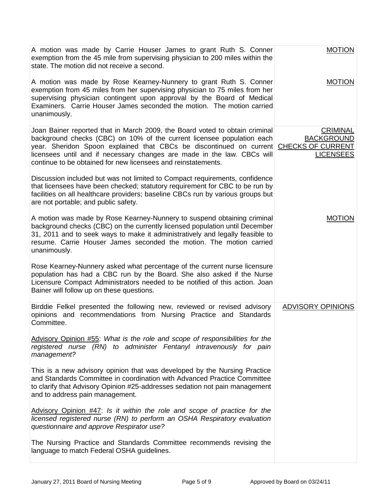| A motion was made by Carrie Houser James to grant Ruth S. Conner<br>exemption from the 45 mile from supervising physician to 200 miles within the<br>state. The motion did not receive a second.                                                                                                                                                                         | <b>MOTION</b>                                                                        |
|--------------------------------------------------------------------------------------------------------------------------------------------------------------------------------------------------------------------------------------------------------------------------------------------------------------------------------------------------------------------------|--------------------------------------------------------------------------------------|
| A motion was made by Rose Kearney-Nunnery to grant Ruth S. Conner<br>exemption from 45 miles from her supervising physician to 75 miles from her<br>supervising physician contingent upon approval by the Board of Medical<br>Examiners. Carrie Houser James seconded the motion. The motion carried<br>unanimously.                                                     | <b>MOTION</b>                                                                        |
| Joan Bainer reported that in March 2009, the Board voted to obtain criminal<br>background checks (CBC) on 10% of the current licensee population each<br>year. Sheridon Spoon explained that CBCs be discontinued on current<br>licensees until and if necessary changes are made in the law. CBCs will<br>continue to be obtained for new licensees and reinstatements. | <b>CRIMINAL</b><br><b>BACKGROUND</b><br><b>CHECKS OF CURRENT</b><br><b>LICENSEES</b> |
| Discussion included but was not limited to Compact requirements, confidence<br>that licensees have been checked; statutory requirement for CBC to be run by<br>facilities on all healthcare providers; baseline CBCs run by various groups but<br>are not portable; and public safety.                                                                                   |                                                                                      |
| A motion was made by Rose Kearney-Nunnery to suspend obtaining criminal<br>background checks (CBC) on the currently licensed population until December<br>31, 2011 and to seek ways to make it administratively and legally feasible to<br>resume. Carrie Houser James seconded the motion. The motion carried<br>unanimously.                                           | <b>MOTION</b>                                                                        |
| Rose Kearney-Nunnery asked what percentage of the current nurse licensure<br>population has had a CBC run by the Board. She also asked if the Nurse<br>Licensure Compact Administrators needed to be notified of this action. Joan<br>Bainer will follow up on these questions.                                                                                          |                                                                                      |
| Birddie Felkel presented the following new, reviewed or revised advisory<br>opinions and recommendations from Nursing Practice and Standards<br>Committee.                                                                                                                                                                                                               | <b>ADVISORY OPINIONS</b>                                                             |
| Advisory Opinion #55: What is the role and scope of responsibilities for the<br>registered nurse (RN) to administer Fentanyl intravenously for pain<br>management?                                                                                                                                                                                                       |                                                                                      |
| This is a new advisory opinion that was developed by the Nursing Practice<br>and Standards Committee in coordination with Advanced Practice Committee<br>to clarify that Advisory Opinion #25-addresses sedation not pain management<br>and to address pain management.                                                                                                  |                                                                                      |
| Advisory Opinion #47: Is it within the role and scope of practice for the<br>licensed registered nurse (RN) to perform an OSHA Respiratory evaluation<br>questionnaire and approve Respirator use?                                                                                                                                                                       |                                                                                      |
| The Nursing Practice and Standards Committee recommends revising the<br>language to match Federal OSHA guidelines.                                                                                                                                                                                                                                                       |                                                                                      |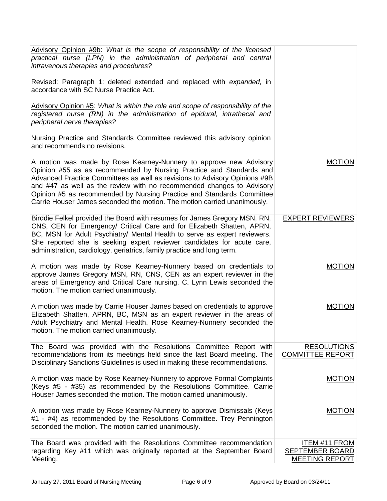| Advisory Opinion #9b: What is the scope of responsibility of the licensed<br>practical nurse (LPN) in the administration of peripheral and central<br>intravenous therapies and procedures?                                                                                                                                                                                                                                                          |                                                                         |
|------------------------------------------------------------------------------------------------------------------------------------------------------------------------------------------------------------------------------------------------------------------------------------------------------------------------------------------------------------------------------------------------------------------------------------------------------|-------------------------------------------------------------------------|
| Revised: Paragraph 1: deleted extended and replaced with expanded, in<br>accordance with SC Nurse Practice Act.                                                                                                                                                                                                                                                                                                                                      |                                                                         |
| Advisory Opinion #5: What is within the role and scope of responsibility of the<br>registered nurse (RN) in the administration of epidural, intrathecal and<br>peripheral nerve therapies?                                                                                                                                                                                                                                                           |                                                                         |
| Nursing Practice and Standards Committee reviewed this advisory opinion<br>and recommends no revisions.                                                                                                                                                                                                                                                                                                                                              |                                                                         |
| A motion was made by Rose Kearney-Nunnery to approve new Advisory<br>Opinion #55 as as recommended by Nursing Practice and Standards and<br>Advanced Practice Committees as well as revisions to Advisory Opinions #9B<br>and #47 as well as the review with no recommended changes to Advisory<br>Opinion #5 as recommended by Nursing Practice and Standards Committee<br>Carrie Houser James seconded the motion. The motion carried unanimously. | <b>MOTION</b>                                                           |
| Birddie Felkel provided the Board with resumes for James Gregory MSN, RN,<br>CNS, CEN for Emergency/ Critical Care and for Elizabeth Shatten, APRN,<br>BC, MSN for Adult Psychiatry/ Mental Health to serve as expert reviewers.<br>She reported she is seeking expert reviewer candidates for acute care,<br>administration, cardiology, geriatrics, family practice and long term.                                                                 | <b>EXPERT REVIEWERS</b>                                                 |
| A motion was made by Rose Kearney-Nunnery based on credentials to<br>approve James Gregory MSN, RN, CNS, CEN as an expert reviewer in the<br>areas of Emergency and Critical Care nursing. C. Lynn Lewis seconded the<br>motion. The motion carried unanimously.                                                                                                                                                                                     | <b>MOTION</b>                                                           |
| A motion was made by Carrie Houser James based on credentials to approve<br>Elizabeth Shatten, APRN, BC, MSN as an expert reviewer in the areas of<br>Adult Psychiatry and Mental Health. Rose Kearney-Nunnery seconded the<br>motion. The motion carried unanimously.                                                                                                                                                                               | <b>MOTION</b>                                                           |
| The Board was provided with the Resolutions Committee Report with<br>recommendations from its meetings held since the last Board meeting. The<br>Disciplinary Sanctions Guidelines is used in making these recommendations.                                                                                                                                                                                                                          | <b>RESOLUTIONS</b><br><b>COMMITTEE REPORT</b>                           |
| A motion was made by Rose Kearney-Nunnery to approve Formal Complaints<br>(Keys #5 - #35) as recommended by the Resolutions Committee. Carrie<br>Houser James seconded the motion. The motion carried unanimously.                                                                                                                                                                                                                                   | <b>MOTION</b>                                                           |
| A motion was made by Rose Kearney-Nunnery to approve Dismissals (Keys<br>#1 - #4) as recommended by the Resolutions Committee. Trey Pennington<br>seconded the motion. The motion carried unanimously.                                                                                                                                                                                                                                               | <b>MOTION</b>                                                           |
| The Board was provided with the Resolutions Committee recommendation<br>regarding Key #11 which was originally reported at the September Board<br>Meeting.                                                                                                                                                                                                                                                                                           | <b>ITEM #11 FROM</b><br><b>SEPTEMBER BOARD</b><br><b>MEETING REPORT</b> |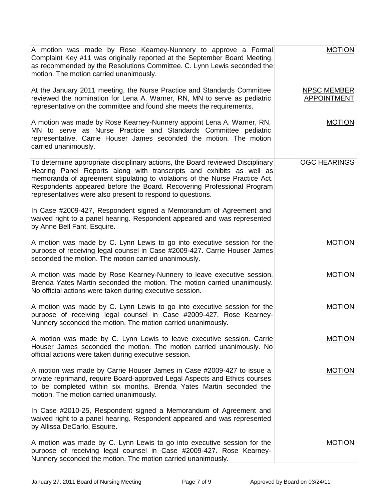| A motion was made by Rose Kearney-Nunnery to approve a Formal<br>Complaint Key #11 was originally reported at the September Board Meeting.<br>as recommended by the Resolutions Committee. C. Lynn Lewis seconded the<br>motion. The motion carried unanimously.                                                                                                              | <b>MOTION</b>                            |
|-------------------------------------------------------------------------------------------------------------------------------------------------------------------------------------------------------------------------------------------------------------------------------------------------------------------------------------------------------------------------------|------------------------------------------|
| At the January 2011 meeting, the Nurse Practice and Standards Committee<br>reviewed the nomination for Lena A. Warner, RN, MN to serve as pediatric<br>representative on the committee and found she meets the requirements.                                                                                                                                                  | <b>NPSC MEMBER</b><br><b>APPOINTMENT</b> |
| A motion was made by Rose Kearney-Nunnery appoint Lena A. Warner, RN,<br>MN to serve as Nurse Practice and Standards Committee pediatric<br>representative. Carrie Houser James seconded the motion. The motion<br>carried unanimously.                                                                                                                                       | <b>MOTION</b>                            |
| To determine appropriate disciplinary actions, the Board reviewed Disciplinary<br>Hearing Panel Reports along with transcripts and exhibits as well as<br>memoranda of agreement stipulating to violations of the Nurse Practice Act.<br>Respondents appeared before the Board. Recovering Professional Program<br>representatives were also present to respond to questions. | <b>OGC HEARINGS</b>                      |
| In Case #2009-427, Respondent signed a Memorandum of Agreement and<br>waived right to a panel hearing. Respondent appeared and was represented<br>by Anne Bell Fant, Esquire.                                                                                                                                                                                                 |                                          |
| A motion was made by C. Lynn Lewis to go into executive session for the<br>purpose of receiving legal counsel in Case #2009-427. Carrie Houser James<br>seconded the motion. The motion carried unanimously.                                                                                                                                                                  | <b>MOTION</b>                            |
| A motion was made by Rose Kearney-Nunnery to leave executive session.<br>Brenda Yates Martin seconded the motion. The motion carried unanimously.<br>No official actions were taken during executive session.                                                                                                                                                                 | <b>MOTION</b>                            |
| A motion was made by C. Lynn Lewis to go into executive session for the<br>purpose of receiving legal counsel in Case #2009-427. Rose Kearney-<br>Nunnery seconded the motion. The motion carried unanimously.                                                                                                                                                                | <b>MOTION</b>                            |
| A motion was made by C. Lynn Lewis to leave executive session. Carrie<br>Houser James seconded the motion. The motion carried unanimously. No<br>official actions were taken during executive session.                                                                                                                                                                        | MOTION                                   |
| A motion was made by Carrie Houser James in Case #2009-427 to issue a<br>private reprimand, require Board-approved Legal Aspects and Ethics courses<br>to be completed within six months. Brenda Yates Martin seconded the<br>motion. The motion carried unanimously.                                                                                                         | <b>MOTION</b>                            |
| In Case #2010-25, Respondent signed a Memorandum of Agreement and<br>waived right to a panel hearing. Respondent appeared and was represented<br>by Allissa DeCarlo, Esquire.                                                                                                                                                                                                 |                                          |
| A motion was made by C. Lynn Lewis to go into executive session for the<br>purpose of receiving legal counsel in Case #2009-427. Rose Kearney-<br>Nunnery seconded the motion. The motion carried unanimously.                                                                                                                                                                | <b>MOTION</b>                            |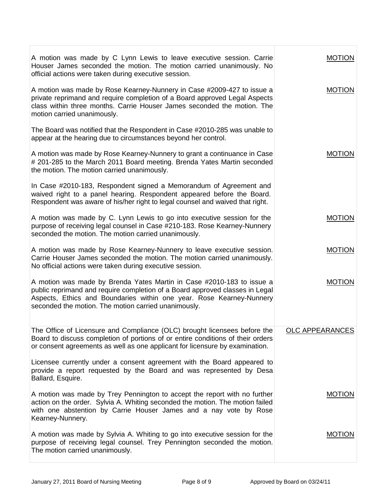| A motion was made by C Lynn Lewis to leave executive session. Carrie<br>Houser James seconded the motion. The motion carried unanimously. No<br>official actions were taken during executive session.                                                                                 | MOTION                 |
|---------------------------------------------------------------------------------------------------------------------------------------------------------------------------------------------------------------------------------------------------------------------------------------|------------------------|
| A motion was made by Rose Kearney-Nunnery in Case #2009-427 to issue a<br>private reprimand and require completion of a Board approved Legal Aspects<br>class within three months. Carrie Houser James seconded the motion. The<br>motion carried unanimously.                        | <b>MOTION</b>          |
| The Board was notified that the Respondent in Case #2010-285 was unable to<br>appear at the hearing due to circumstances beyond her control.                                                                                                                                          |                        |
| A motion was made by Rose Kearney-Nunnery to grant a continuance in Case<br># 201-285 to the March 2011 Board meeting. Brenda Yates Martin seconded<br>the motion. The motion carried unanimously.                                                                                    | <b>MOTION</b>          |
| In Case #2010-183, Respondent signed a Memorandum of Agreement and<br>waived right to a panel hearing. Respondent appeared before the Board.<br>Respondent was aware of his/her right to legal counsel and waived that right.                                                         |                        |
| A motion was made by C. Lynn Lewis to go into executive session for the<br>purpose of receiving legal counsel in Case #210-183. Rose Kearney-Nunnery<br>seconded the motion. The motion carried unanimously.                                                                          | <b>MOTION</b>          |
| A motion was made by Rose Kearney-Nunnery to leave executive session.<br>Carrie Houser James seconded the motion. The motion carried unanimously.<br>No official actions were taken during executive session.                                                                         | <b>MOTION</b>          |
| A motion was made by Brenda Yates Martin in Case #2010-183 to issue a<br>public reprimand and require completion of a Board approved classes in Legal<br>Aspects, Ethics and Boundaries within one year. Rose Kearney-Nunnery<br>seconded the motion. The motion carried unanimously. | <b>MOTION</b>          |
| The Office of Licensure and Compliance (OLC) brought licensees before the<br>Board to discuss completion of portions of or entire conditions of their orders<br>or consent agreements as well as one applicant for licensure by examination.                                          | <b>OLC APPEARANCES</b> |
| Licensee currently under a consent agreement with the Board appeared to<br>provide a report requested by the Board and was represented by Desa<br>Ballard, Esquire.                                                                                                                   |                        |
| A motion was made by Trey Pennington to accept the report with no further<br>action on the order. Sylvia A. Whiting seconded the motion. The motion failed<br>with one abstention by Carrie Houser James and a nay vote by Rose<br>Kearney-Nunnery.                                   | <b>MOTION</b>          |
| A motion was made by Sylvia A. Whiting to go into executive session for the<br>purpose of receiving legal counsel. Trey Pennington seconded the motion.<br>The motion carried unanimously.                                                                                            | <b>MOTION</b>          |